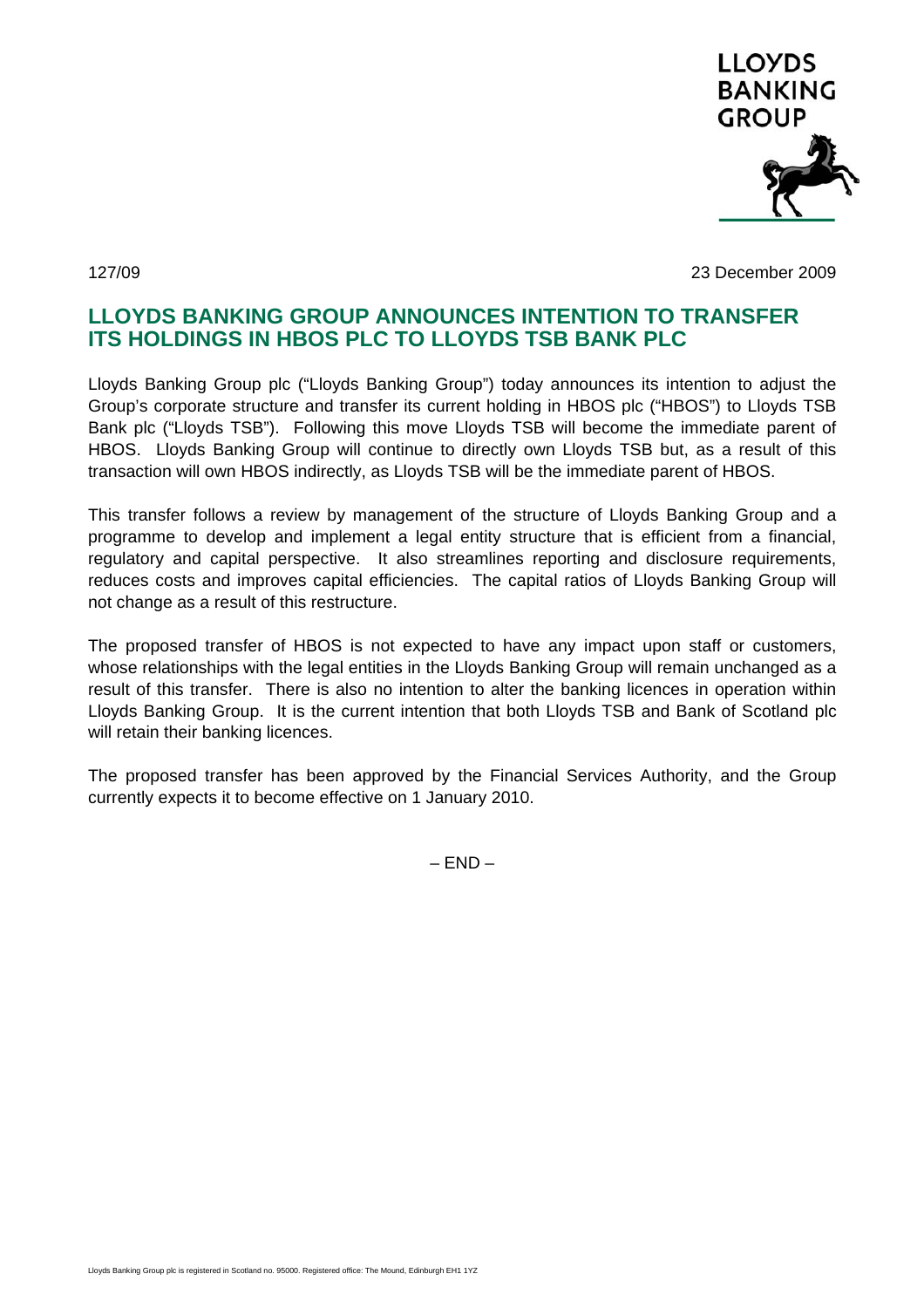

127/09 23 December 2009

## **LLOYDS BANKING GROUP ANNOUNCES INTENTION TO TRANSFER ITS HOLDINGS IN HBOS PLC TO LLOYDS TSB BANK PLC**

Lloyds Banking Group plc ("Lloyds Banking Group") today announces its intention to adjust the Group's corporate structure and transfer its current holding in HBOS plc ("HBOS") to Lloyds TSB Bank plc ("Lloyds TSB"). Following this move Lloyds TSB will become the immediate parent of HBOS. Lloyds Banking Group will continue to directly own Lloyds TSB but, as a result of this transaction will own HBOS indirectly, as Lloyds TSB will be the immediate parent of HBOS.

This transfer follows a review by management of the structure of Lloyds Banking Group and a programme to develop and implement a legal entity structure that is efficient from a financial, regulatory and capital perspective. It also streamlines reporting and disclosure requirements, reduces costs and improves capital efficiencies. The capital ratios of Lloyds Banking Group will not change as a result of this restructure.

The proposed transfer of HBOS is not expected to have any impact upon staff or customers, whose relationships with the legal entities in the Lloyds Banking Group will remain unchanged as a result of this transfer. There is also no intention to alter the banking licences in operation within Lloyds Banking Group. It is the current intention that both Lloyds TSB and Bank of Scotland plc will retain their banking licences.

The proposed transfer has been approved by the Financial Services Authority, and the Group currently expects it to become effective on 1 January 2010.

 $-$  END  $-$